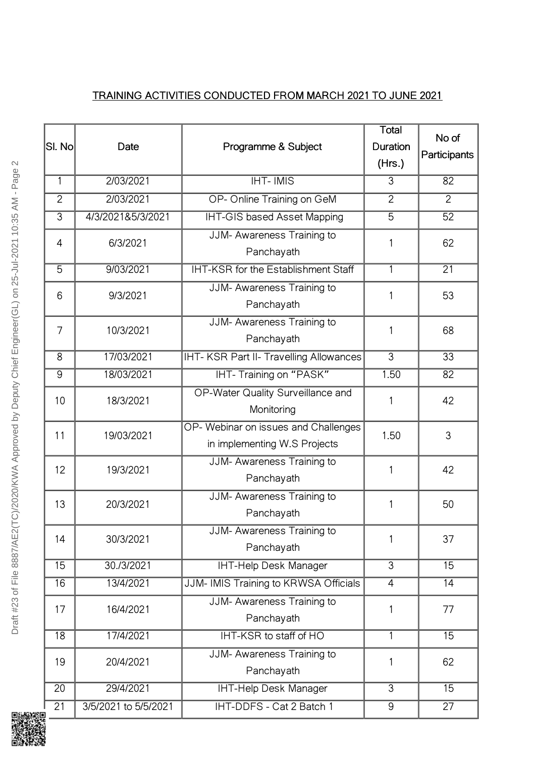## TRAINING ACTIVITIES CONDUCTED FROM MARCH 2021 TO JUNE 2021

| SI. No          | Date                 | Programme & Subject                                                  | <b>Total</b><br>Duration<br>(Hrs.) | No of<br>Participants |
|-----------------|----------------------|----------------------------------------------------------------------|------------------------------------|-----------------------|
| $\mathbf{1}$    | 2/03/2021            | $H$ T-IMIS                                                           | 3                                  | 82                    |
| $\overline{2}$  | 2/03/2021            | OP- Online Training on GeM                                           | $\overline{2}$                     | 2                     |
| 3               | 4/3/2021&5/3/2021    | <b>IHT-GIS based Asset Mapping</b>                                   | $\overline{5}$                     | 52                    |
| $\overline{4}$  | 6/3/2021             | JJM- Awareness Training to<br>Panchayath                             | 1                                  | 62                    |
| 5               | 9/03/2021            | IHT-KSR for the Establishment Staff                                  | 1                                  | 21                    |
| 6               | 9/3/2021             | JJM-Awareness Training to<br>Panchayath                              | 1                                  | 53                    |
| $\overline{7}$  | 10/3/2021            | JJM- Awareness Training to<br>Panchayath                             | 1                                  | 68                    |
| 8               | 17/03/2021           | IHT-KSR Part II-Travelling Allowances                                | $\overline{3}$                     | 33                    |
| 9               | 18/03/2021           | IHT-Training on "PASK"                                               | 1.50                               | 82                    |
| 10              | 18/3/2021            | OP-Water Quality Surveillance and<br>Monitoring                      | 1                                  | 42                    |
| 11              | 19/03/2021           | OP- Webinar on issues and Challenges<br>in implementing W.S Projects | 1.50                               | 3                     |
| 12              | 19/3/2021            | JJM- Awareness Training to<br>Panchayath                             | 1                                  | 42                    |
| 13              | 20/3/2021            | JJM- Awareness Training to<br>Panchayath                             | 1                                  | 50                    |
| 14              | 30/3/2021            | JJM- Awareness Training to<br>Panchayath                             | 1                                  | 37                    |
| 15              | 30./3/2021           | <b>IHT-Help Desk Manager</b>                                         | $\overline{3}$                     | 15                    |
| 16              | 13/4/2021            | JJM-IMIS Training to KRWSA Officials                                 | 4                                  | $\overline{14}$       |
| 17              | 16/4/2021            | JJM- Awareness Training to<br>Panchayath                             | 1                                  | 77                    |
| $\overline{18}$ | 17/4/2021            | IHT-KSR to staff of HO                                               | $\mathbf{1}$                       | $\overline{15}$       |
| 19              | 20/4/2021            | JJM-Awareness Training to<br>Panchayath                              | 1                                  | 62                    |
| 20              | 29/4/2021            | <b>IHT-Help Desk Manager</b>                                         | $\overline{3}$                     | 15                    |
| 21              | 3/5/2021 to 5/5/2021 | IHT-DDFS - Cat 2 Batch 1                                             | 9                                  | 27                    |

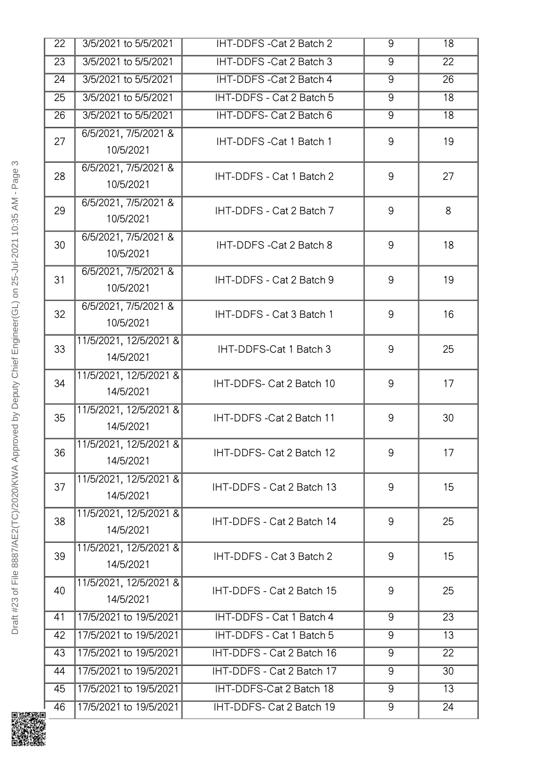| 22              | 3/5/2021 to 5/5/2021                | IHT-DDFS-Cat 2 Batch 2    | 9              | 18              |
|-----------------|-------------------------------------|---------------------------|----------------|-----------------|
| $\overline{23}$ | 3/5/2021 to 5/5/2021                | IHT-DDFS-Cat 2 Batch 3    | $\overline{9}$ | $\overline{22}$ |
| 24              | 3/5/2021 to 5/5/2021                | IHT-DDFS - Cat 2 Batch 4  | 9              | 26              |
| 25              | 3/5/2021 to 5/5/2021                | IHT-DDFS - Cat 2 Batch 5  | 9              | 18              |
| 26              | 3/5/2021 to 5/5/2021                | IHT-DDFS- Cat 2 Batch 6   | $\overline{9}$ | $\overline{18}$ |
| 27              | 6/5/2021, 7/5/2021 &<br>10/5/2021   | IHT-DDFS-Cat 1 Batch 1    | $9\,$          | 19              |
| 28              | 6/5/2021, 7/5/2021 &<br>10/5/2021   | IHT-DDFS - Cat 1 Batch 2  | 9              | 27              |
| 29              | 6/5/2021, 7/5/2021 &<br>10/5/2021   | IHT-DDFS - Cat 2 Batch 7  | 9              | 8               |
| 30              | 6/5/2021, 7/5/2021 &<br>10/5/2021   | IHT-DDFS-Cat 2 Batch 8    | $9\,$          | 18              |
| 31              | 6/5/2021, 7/5/2021 &<br>10/5/2021   | IHT-DDFS - Cat 2 Batch 9  | 9              | 19              |
| 32              | 6/5/2021, 7/5/2021 &<br>10/5/2021   | IHT-DDFS - Cat 3 Batch 1  | $9\,$          | 16              |
| 33              | 11/5/2021, 12/5/2021 &<br>14/5/2021 | IHT-DDFS-Cat 1 Batch 3    | 9              | 25              |
| 34              | 11/5/2021, 12/5/2021 &<br>14/5/2021 | IHT-DDFS- Cat 2 Batch 10  | 9              | 17              |
| 35              | 11/5/2021, 12/5/2021 &<br>14/5/2021 | IHT-DDFS-Cat 2 Batch 11   | $9\,$          | 30              |
| 36              | 11/5/2021, 12/5/2021 &<br>14/5/2021 | IHT-DDFS- Cat 2 Batch 12  | 9              | 17              |
| 37              | 11/5/2021, 12/5/2021 &<br>14/5/2021 | IHT-DDFS - Cat 2 Batch 13 | $9\,$          | 15              |
| 38              | 11/5/2021, 12/5/2021 &<br>14/5/2021 | IHT-DDFS - Cat 2 Batch 14 | 9              | 25              |
| 39              | 11/5/2021, 12/5/2021 &<br>14/5/2021 | IHT-DDFS - Cat 3 Batch 2  | 9              | 15              |
| 40              | 11/5/2021, 12/5/2021 &<br>14/5/2021 | IHT-DDFS - Cat 2 Batch 15 | $9\,$          | 25              |
| 41              | 17/5/2021 to 19/5/2021              | IHT-DDFS - Cat 1 Batch 4  | 9              | 23              |
| 42              | 17/5/2021 to 19/5/2021              | IHT-DDFS - Cat 1 Batch 5  | $\overline{9}$ | 13              |
| 43              | 17/5/2021 to 19/5/2021              | IHT-DDFS - Cat 2 Batch 16 | 9              | 22              |
| 44              | 17/5/2021 to 19/5/2021              | IHT-DDFS - Cat 2 Batch 17 | 9              | 30              |
| 45              | 17/5/2021 to 19/5/2021              | IHT-DDFS-Cat 2 Batch 18   | 9              | 13              |
| 46              | 17/5/2021 to 19/5/2021              | IHT-DDFS- Cat 2 Batch 19  | 9              | 24              |

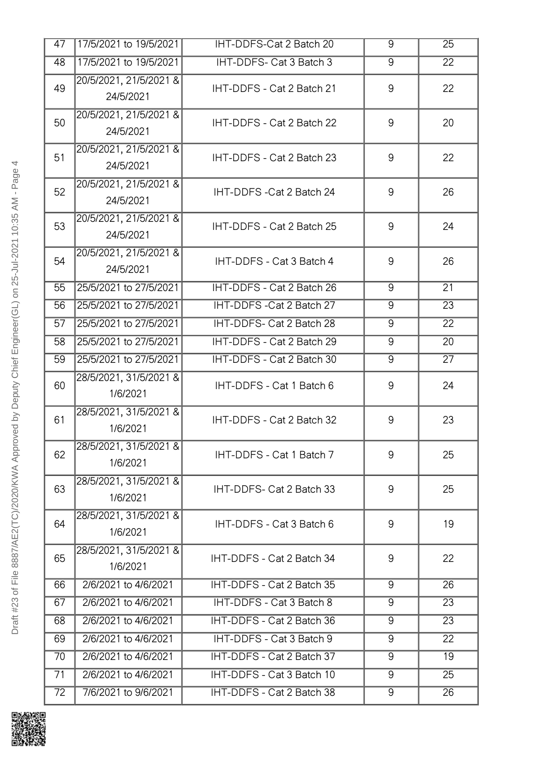| 47 | 17/5/2021 to 19/5/2021              | IHT-DDFS-Cat 2 Batch 20   | 9              | 25              |
|----|-------------------------------------|---------------------------|----------------|-----------------|
| 48 | 17/5/2021 to 19/5/2021              | IHT-DDFS- Cat 3 Batch 3   | 9              | $\overline{22}$ |
| 49 | 20/5/2021, 21/5/2021 &<br>24/5/2021 | IHT-DDFS - Cat 2 Batch 21 | 9              | 22              |
| 50 | 20/5/2021, 21/5/2021 &<br>24/5/2021 | IHT-DDFS - Cat 2 Batch 22 | 9              | 20              |
| 51 | 20/5/2021, 21/5/2021 &<br>24/5/2021 | IHT-DDFS - Cat 2 Batch 23 | 9              | 22              |
| 52 | 20/5/2021, 21/5/2021 &<br>24/5/2021 | IHT-DDFS-Cat 2 Batch 24   | 9              | 26              |
| 53 | 20/5/2021, 21/5/2021 &<br>24/5/2021 | IHT-DDFS - Cat 2 Batch 25 | 9              | 24              |
| 54 | 20/5/2021, 21/5/2021 &<br>24/5/2021 | IHT-DDFS - Cat 3 Batch 4  | 9              | 26              |
| 55 | 25/5/2021 to 27/5/2021              | IHT-DDFS - Cat 2 Batch 26 | $\overline{9}$ | 21              |
| 56 | 25/5/2021 to 27/5/2021              | IHT-DDFS-Cat 2 Batch 27   | 9              | $\overline{23}$ |
| 57 | 25/5/2021 to 27/5/2021              | IHT-DDFS- Cat 2 Batch 28  | $\overline{9}$ | 22              |
| 58 | 25/5/2021 to 27/5/2021              | IHT-DDFS - Cat 2 Batch 29 | 9              | 20              |
| 59 | 25/5/2021 to 27/5/2021              | IHT-DDFS - Cat 2 Batch 30 | 9              | 27              |
| 60 | 28/5/2021, 31/5/2021 &<br>1/6/2021  | IHT-DDFS - Cat 1 Batch 6  | 9              | 24              |
| 61 | 28/5/2021, 31/5/2021 &<br>1/6/2021  | IHT-DDFS - Cat 2 Batch 32 | 9              | 23              |
| 62 | 28/5/2021, 31/5/2021 &<br>1/6/2021  | IHT-DDFS - Cat 1 Batch 7  | 9              | 25              |
| 63 | 28/5/2021, 31/5/2021 &<br>1/6/2021  | IHT-DDFS- Cat 2 Batch 33  | 9              | 25              |
| 64 | 28/5/2021, 31/5/2021 &<br>1/6/2021  | IHT-DDFS - Cat 3 Batch 6  | 9              | 19              |
| 65 | 28/5/2021, 31/5/2021 &<br>1/6/2021  | IHT-DDFS - Cat 2 Batch 34 | 9              | 22              |
| 66 | 2/6/2021 to 4/6/2021                | IHT-DDFS - Cat 2 Batch 35 | 9              | 26              |
| 67 | 2/6/2021 to 4/6/2021                | IHT-DDFS - Cat 3 Batch 8  | 9              | 23              |
| 68 | 2/6/2021 to 4/6/2021                | IHT-DDFS - Cat 2 Batch 36 | 9              | 23              |
| 69 | 2/6/2021 to 4/6/2021                | IHT-DDFS - Cat 3 Batch 9  | $\overline{9}$ | 22              |
| 70 | 2/6/2021 to 4/6/2021                | IHT-DDFS - Cat 2 Batch 37 | 9              | 19              |
| 71 | 2/6/2021 to 4/6/2021                | IHT-DDFS - Cat 3 Batch 10 | 9              | 25              |
|    |                                     |                           |                |                 |

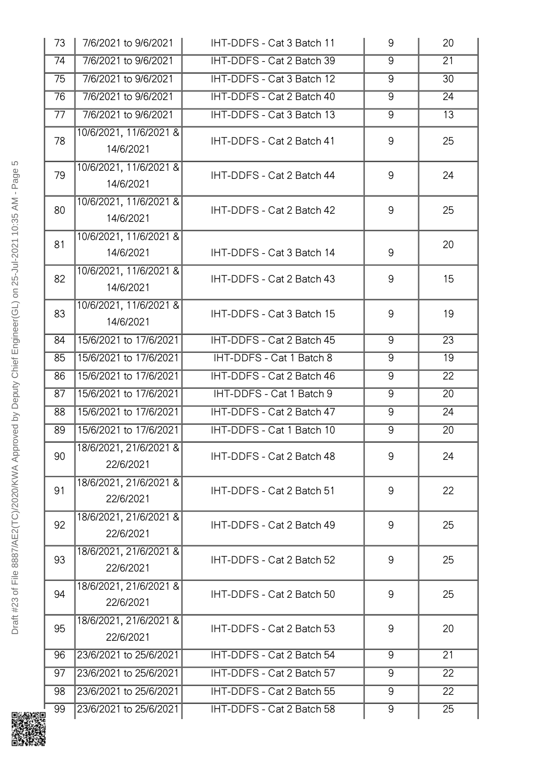| 73 | 7/6/2021 to 9/6/2021                | IHT-DDFS - Cat 3 Batch 11 | 9              | 20              |
|----|-------------------------------------|---------------------------|----------------|-----------------|
| 74 | 7/6/2021 to 9/6/2021                | IHT-DDFS - Cat 2 Batch 39 | 9              | $\overline{21}$ |
| 75 | 7/6/2021 to 9/6/2021                | IHT-DDFS - Cat 3 Batch 12 | 9              | 30              |
| 76 | 7/6/2021 to 9/6/2021                | IHT-DDFS - Cat 2 Batch 40 | $\overline{9}$ | 24              |
| 77 | 7/6/2021 to 9/6/2021                | IHT-DDFS - Cat 3 Batch 13 | $\overline{9}$ | 13              |
| 78 | 10/6/2021, 11/6/2021 &<br>14/6/2021 | IHT-DDFS - Cat 2 Batch 41 | 9              | 25              |
| 79 | 10/6/2021, 11/6/2021 &<br>14/6/2021 | IHT-DDFS - Cat 2 Batch 44 | 9              | 24              |
| 80 | 10/6/2021, 11/6/2021 &<br>14/6/2021 | IHT-DDFS - Cat 2 Batch 42 | 9              | 25              |
| 81 | 10/6/2021, 11/6/2021 &<br>14/6/2021 | IHT-DDFS - Cat 3 Batch 14 | 9              | 20              |
| 82 | 10/6/2021, 11/6/2021 &<br>14/6/2021 | IHT-DDFS - Cat 2 Batch 43 | 9              | 15              |
| 83 | 10/6/2021, 11/6/2021 &<br>14/6/2021 | IHT-DDFS - Cat 3 Batch 15 | 9              | 19              |
| 84 | 15/6/2021 to 17/6/2021              | IHT-DDFS - Cat 2 Batch 45 | $9\,$          | 23              |
| 85 | 15/6/2021 to 17/6/2021              | IHT-DDFS - Cat 1 Batch 8  | $\overline{9}$ | 19              |
| 86 | 15/6/2021 to 17/6/2021              | IHT-DDFS - Cat 2 Batch 46 | $\overline{9}$ | 22              |
| 87 | 15/6/2021 to 17/6/2021              | IHT-DDFS - Cat 1 Batch 9  | 9              | $\overline{20}$ |
| 88 | 15/6/2021 to 17/6/2021              | IHT-DDFS - Cat 2 Batch 47 | 9              | 24              |
| 89 | 15/6/2021 to 17/6/2021              | IHT-DDFS - Cat 1 Batch 10 | $\overline{9}$ | 20              |
| 90 | 18/6/2021, 21/6/2021 &<br>22/6/2021 | IHT-DDFS - Cat 2 Batch 48 | 9              | 24              |
| 91 | 18/6/2021, 21/6/2021 &<br>22/6/2021 | IHT-DDFS - Cat 2 Batch 51 | 9              | 22              |
| 92 | 18/6/2021, 21/6/2021 &<br>22/6/2021 | IHT-DDFS - Cat 2 Batch 49 | 9              | 25              |
| 93 | 18/6/2021, 21/6/2021 &<br>22/6/2021 | IHT-DDFS - Cat 2 Batch 52 | 9              | 25              |
| 94 | 18/6/2021, 21/6/2021 &<br>22/6/2021 | IHT-DDFS - Cat 2 Batch 50 | 9              | 25              |
| 95 | 18/6/2021, 21/6/2021 &<br>22/6/2021 | IHT-DDFS - Cat 2 Batch 53 | 9              | 20              |
| 96 | 23/6/2021 to 25/6/2021              | IHT-DDFS - Cat 2 Batch 54 | $\overline{9}$ | $\overline{21}$ |
| 97 | 23/6/2021 to 25/6/2021              | IHT-DDFS - Cat 2 Batch 57 | 9              | 22              |
| 98 | 23/6/2021 to 25/6/2021              | IHT-DDFS - Cat 2 Batch 55 | 9              | 22              |
| 99 | 23/6/2021 to 25/6/2021              | IHT-DDFS - Cat 2 Batch 58 | 9              | 25              |